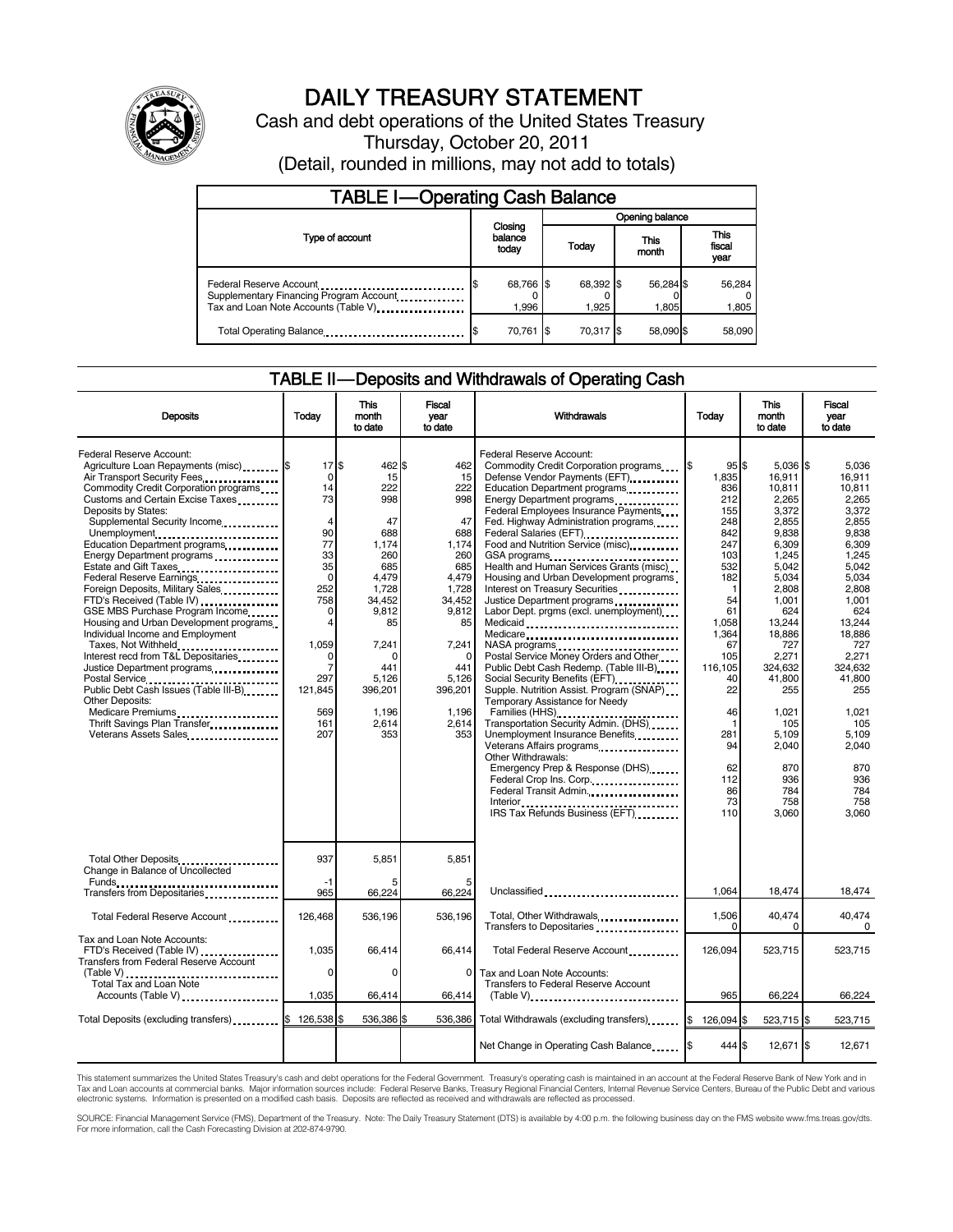

# DAILY TREASURY STATEMENT

Cash and debt operations of the United States Treasury Thursday, October 20, 2011 (Detail, rounded in millions, may not add to totals)

| <b>TABLE I-Operating Cash Balance</b>                                                                       |                             |                    |                    |                               |  |  |
|-------------------------------------------------------------------------------------------------------------|-----------------------------|--------------------|--------------------|-------------------------------|--|--|
|                                                                                                             |                             | Opening balance    |                    |                               |  |  |
| Type of account                                                                                             | Closing<br>balance<br>today | Today              | This<br>month      | <b>This</b><br>fiscal<br>year |  |  |
| Federal Reserve Account<br>Supplementary Financing Program Account<br>Tax and Loan Note Accounts (Table V). | 68,766 \$<br>1.996          | 68,392 \$<br>1.925 | 56,284 \$<br>1.805 | 56,284<br>1,805               |  |  |
| Total Operating Balance                                                                                     | 70,761 \$                   | 70.317 \$          | 58.090 \$          | 58,090                        |  |  |

# TABLE II — Deposits and Withdrawals of Operating Cash

| <b>Deposits</b>                                                                                                                                                                                                                                                                                                                                                                                                                                                                                                                                                                                                                                                                                                                                                                                                                                                                                                                                                                | Today                                                                                                                                                                  | This<br>month<br>to date                                                                                                                                                    | Fiscal<br>vear<br>to date                                                                                                                                                       | Withdrawals                                                                                                                                                                                                                                                                                                                                                                                                                                                                                                                                                                                                                                                                                                                                                                                                                                                                                                                                                                                                                                                                                                                                                                                                                                                       | Today                                                                                                                                                                                                                 | <b>This</b><br>month<br>to date                                                                                                                                                                                                                                        | Fiscal<br>year<br>to date                                                                                                                                                                                                                                         |
|--------------------------------------------------------------------------------------------------------------------------------------------------------------------------------------------------------------------------------------------------------------------------------------------------------------------------------------------------------------------------------------------------------------------------------------------------------------------------------------------------------------------------------------------------------------------------------------------------------------------------------------------------------------------------------------------------------------------------------------------------------------------------------------------------------------------------------------------------------------------------------------------------------------------------------------------------------------------------------|------------------------------------------------------------------------------------------------------------------------------------------------------------------------|-----------------------------------------------------------------------------------------------------------------------------------------------------------------------------|---------------------------------------------------------------------------------------------------------------------------------------------------------------------------------|-------------------------------------------------------------------------------------------------------------------------------------------------------------------------------------------------------------------------------------------------------------------------------------------------------------------------------------------------------------------------------------------------------------------------------------------------------------------------------------------------------------------------------------------------------------------------------------------------------------------------------------------------------------------------------------------------------------------------------------------------------------------------------------------------------------------------------------------------------------------------------------------------------------------------------------------------------------------------------------------------------------------------------------------------------------------------------------------------------------------------------------------------------------------------------------------------------------------------------------------------------------------|-----------------------------------------------------------------------------------------------------------------------------------------------------------------------------------------------------------------------|------------------------------------------------------------------------------------------------------------------------------------------------------------------------------------------------------------------------------------------------------------------------|-------------------------------------------------------------------------------------------------------------------------------------------------------------------------------------------------------------------------------------------------------------------|
| Federal Reserve Account:<br>Agriculture Loan Repayments (misc) \$<br>Air Transport Security Fees<br>Commodity Credit Corporation programs<br>Customs and Certain Excise Taxes<br>Deposits by States:<br>Supplemental Security Income<br>Unemployment<br>Education Department programs<br>Energy Department programs<br>Estate and Gift Taxes<br><br>Federal Reserve Earnings<br>Foreign Deposits, Military Sales<br>FTD's Received (Table IV)<br>GSE MBS Purchase Program Income<br>Housing and Urban Development programs<br>Individual Income and Employment<br>Taxes, Not Withheld<br>Interest recd from T&L Depositaries<br>Justice Department programs<br><b>Other Deposits:</b><br>Medicare Premiums<br>Thrift Savings Plan Transfer<br>Veterans Assets Sales<br>1991 - The Linux Linux Linux Linux Linux Linux Linux Linux Linux Linux Linux Linux Linux Linux Linux Linux Linux Linux Linux Linux Linux Linux Linux Linux Linux Linux Linux Linux Linux Linux Linux Li | 17S<br>0<br>14<br>73<br>$\overline{4}$<br>90<br>77<br>33<br>35<br>$\mathbf 0$<br>252<br>758<br>$\Omega$<br>4<br>1,059<br>0<br>7<br>297<br>121,845<br>569<br>161<br>207 | 462 \$<br>15<br>222<br>998<br>47<br>688<br>1.174<br>260<br>685<br>4.479<br>1,728<br>34.452<br>9,812<br>85<br>7,241<br>0<br>441<br>5.126<br>396,201<br>1,196<br>2.614<br>353 | 462<br>15<br>222<br>998<br>47<br>688<br>1.174<br>260<br>685<br>4.479<br>1,728<br>34.452<br>9,812<br>85<br>7,241<br>$\Omega$<br>441<br>5,126<br>396,201<br>1,196<br>2,614<br>353 | Federal Reserve Account:<br>Commodity Credit Corporation programs<br>Defense Vendor Payments (EFT)<br>Education Department programs<br>Federal Employees Insurance Payments<br>Fed. Highway Administration programs<br>Federal Salaries (EFT)<br>1999: 1999: 1999: 1999: 1999: 1999: 1999: 1999: 1999: 1999: 1999: 1999: 1999: 1999: 1999: 1999: 1999: 1999: 1999: 1999: 1999: 1999: 1999: 1999: 1999: 1999: 1999: 1999: 1999: 1999: 1999: 1999: 1999:<br>Food and Nutrition Service (misc)<br>GSA programs<br><br>Health and Human Services Grants (misc)<br>Housing and Urban Development programs<br>Interest on Treasury Securities<br>Justice Department programs<br>Labor Dept. prgms (excl. unemployment)<br>Medicaid<br>Medicare<br>NASA programs<br>Postal Service Money Orders and Other<br>Public Debt Cash Redemp. (Table III-B)<br>Social Security Benefits (EFT)<br>1991 - The Social Security Benefits (EFT)<br>Supple. Nutrition Assist. Program (SNAP)<br>Temporary Assistance for Needy<br>Families (HHS)<br>Transportation Security Admin. (DHS)<br>Unemployment Insurance Benefits<br>Other Withdrawals:<br>Emergency Prep & Response (DHS)<br>Federal Crop Ins. Corp.<br>Federal Transit Admin<br>Interior<br>IRS Tax Refunds Business (EFT) | 95S<br>1.835<br>836<br>212<br>155<br>248<br>842<br>247<br>103<br>532<br>182<br>$\mathbf{1}$<br>54<br>61<br>1.058<br>1,364<br>67<br>105<br>116.105<br>40<br>22<br>46<br>1<br>281<br>94<br>62<br>112<br>86<br>73<br>110 | $5.036$ \$<br>16.911<br>10,811<br>2,265<br>3,372<br>2.855<br>9.838<br>6.309<br>1.245<br>5.042<br>5,034<br>2.808<br>1.001<br>624<br>13.244<br>18,886<br>727<br>2,271<br>324.632<br>41.800<br>255<br>1,021<br>105<br>5,109<br>2,040<br>870<br>936<br>784<br>758<br>3,060 | 5.036<br>16.911<br>10,811<br>2,265<br>3.372<br>2.855<br>9.838<br>6.309<br>1.245<br>5.042<br>5.034<br>2.808<br>1.001<br>624<br>13.244<br>18,886<br>727<br>2,271<br>324.632<br>41.800<br>255<br>1,021<br>105<br>5,109<br>2,040<br>870<br>936<br>784<br>758<br>3.060 |
| Total Other Deposits<br>Change in Balance of Uncollected                                                                                                                                                                                                                                                                                                                                                                                                                                                                                                                                                                                                                                                                                                                                                                                                                                                                                                                       | 937<br>-1                                                                                                                                                              | 5.851                                                                                                                                                                       | 5.851                                                                                                                                                                           |                                                                                                                                                                                                                                                                                                                                                                                                                                                                                                                                                                                                                                                                                                                                                                                                                                                                                                                                                                                                                                                                                                                                                                                                                                                                   |                                                                                                                                                                                                                       |                                                                                                                                                                                                                                                                        |                                                                                                                                                                                                                                                                   |
| Transfers from Depositaries                                                                                                                                                                                                                                                                                                                                                                                                                                                                                                                                                                                                                                                                                                                                                                                                                                                                                                                                                    | 965                                                                                                                                                                    | 66,224                                                                                                                                                                      | 66,224                                                                                                                                                                          | Unclassified                                                                                                                                                                                                                                                                                                                                                                                                                                                                                                                                                                                                                                                                                                                                                                                                                                                                                                                                                                                                                                                                                                                                                                                                                                                      | 1,064                                                                                                                                                                                                                 | 18,474                                                                                                                                                                                                                                                                 | 18,474                                                                                                                                                                                                                                                            |
| Total Federal Reserve Account                                                                                                                                                                                                                                                                                                                                                                                                                                                                                                                                                                                                                                                                                                                                                                                                                                                                                                                                                  | 126,468                                                                                                                                                                | 536,196                                                                                                                                                                     | 536,196                                                                                                                                                                         | Total, Other Withdrawals<br>Transfers to Depositaries                                                                                                                                                                                                                                                                                                                                                                                                                                                                                                                                                                                                                                                                                                                                                                                                                                                                                                                                                                                                                                                                                                                                                                                                             | 1,506<br>$\Omega$                                                                                                                                                                                                     | 40,474<br>$\Omega$                                                                                                                                                                                                                                                     | 40.474<br>$\Omega$                                                                                                                                                                                                                                                |
| Tax and Loan Note Accounts:<br>FTD's Received (Table IV)<br><b>Transfers from Federal Reserve Account</b>                                                                                                                                                                                                                                                                                                                                                                                                                                                                                                                                                                                                                                                                                                                                                                                                                                                                      | 1.035                                                                                                                                                                  | 66.414                                                                                                                                                                      | 66.414                                                                                                                                                                          | Total Federal Reserve Account                                                                                                                                                                                                                                                                                                                                                                                                                                                                                                                                                                                                                                                                                                                                                                                                                                                                                                                                                                                                                                                                                                                                                                                                                                     | 126.094                                                                                                                                                                                                               | 523.715                                                                                                                                                                                                                                                                | 523.715                                                                                                                                                                                                                                                           |
| (Table V)<br>Total Tax and Loan Note<br>Accounts (Table V)                                                                                                                                                                                                                                                                                                                                                                                                                                                                                                                                                                                                                                                                                                                                                                                                                                                                                                                     | 0<br>1,035                                                                                                                                                             | $\Omega$<br>66,414                                                                                                                                                          | 0<br>66,414                                                                                                                                                                     | Tax and Loan Note Accounts:<br>Transfers to Federal Reserve Account<br>$(Table V)$                                                                                                                                                                                                                                                                                                                                                                                                                                                                                                                                                                                                                                                                                                                                                                                                                                                                                                                                                                                                                                                                                                                                                                                | 965                                                                                                                                                                                                                   | 66,224                                                                                                                                                                                                                                                                 | 66,224                                                                                                                                                                                                                                                            |
| Total Deposits (excluding transfers) <b>S</b>                                                                                                                                                                                                                                                                                                                                                                                                                                                                                                                                                                                                                                                                                                                                                                                                                                                                                                                                  | 126,538 \$                                                                                                                                                             | 536,386 \$                                                                                                                                                                  | 536,386                                                                                                                                                                         | Total Withdrawals (excluding transfers)                                                                                                                                                                                                                                                                                                                                                                                                                                                                                                                                                                                                                                                                                                                                                                                                                                                                                                                                                                                                                                                                                                                                                                                                                           | 126,094 \$<br>I\$                                                                                                                                                                                                     | 523,715 \$                                                                                                                                                                                                                                                             | 523,715                                                                                                                                                                                                                                                           |
|                                                                                                                                                                                                                                                                                                                                                                                                                                                                                                                                                                                                                                                                                                                                                                                                                                                                                                                                                                                |                                                                                                                                                                        |                                                                                                                                                                             |                                                                                                                                                                                 | Net Change in Operating Cash Balance                                                                                                                                                                                                                                                                                                                                                                                                                                                                                                                                                                                                                                                                                                                                                                                                                                                                                                                                                                                                                                                                                                                                                                                                                              | 444 \$                                                                                                                                                                                                                | 12,671 \$                                                                                                                                                                                                                                                              | 12,671                                                                                                                                                                                                                                                            |

This statement summarizes the United States Treasury's cash and debt operations for the Federal Government. Treasury's operating cash is maintained in an account at the Federal Reserve Bank of New York and in<br>Tax and Loan

SOURCE: Financial Management Service (FMS), Department of the Treasury. Note: The Daily Treasury Statement (DTS) is available by 4:00 p.m. the following business day on the FMS website www.fms.treas.gov/dts.<br>For more infor